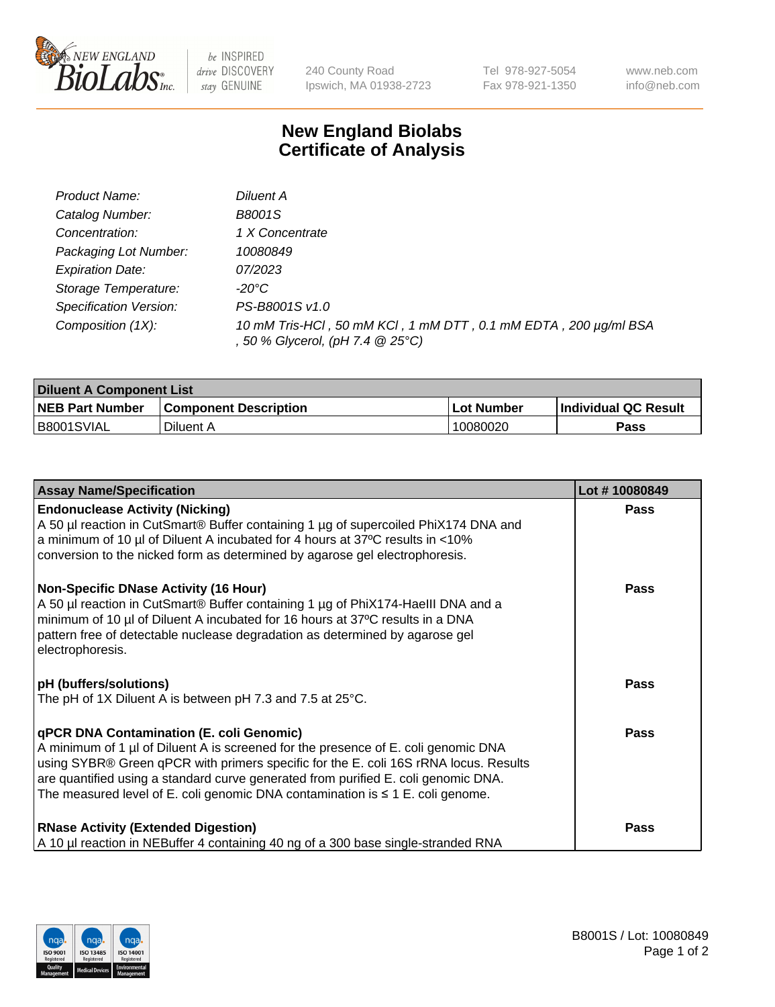

 $be$  INSPIRED drive DISCOVERY stay GENUINE

240 County Road Ipswich, MA 01938-2723 Tel 978-927-5054 Fax 978-921-1350 www.neb.com info@neb.com

## **New England Biolabs Certificate of Analysis**

| Product Name:           | Diluent A                                                                                           |
|-------------------------|-----------------------------------------------------------------------------------------------------|
| Catalog Number:         | <b>B8001S</b>                                                                                       |
| Concentration:          | 1 X Concentrate                                                                                     |
| Packaging Lot Number:   | 10080849                                                                                            |
| <b>Expiration Date:</b> | 07/2023                                                                                             |
| Storage Temperature:    | -20°C                                                                                               |
| Specification Version:  | PS-B8001S v1.0                                                                                      |
| Composition (1X):       | 10 mM Tris-HCl, 50 mM KCl, 1 mM DTT, 0.1 mM EDTA, 200 µg/ml BSA<br>, 50 % Glycerol, (pH 7.4 @ 25°C) |

| <b>Diluent A Component List</b> |                              |                   |                      |  |
|---------------------------------|------------------------------|-------------------|----------------------|--|
| <b>NEB Part Number</b>          | <b>Component Description</b> | <b>Lot Number</b> | Individual QC Result |  |
| B8001SVIAL                      | Diluent A                    | 10080020          | Pass                 |  |

| <b>Assay Name/Specification</b>                                                                                                                                                                                                                                                                                                                                                                            | Lot #10080849 |
|------------------------------------------------------------------------------------------------------------------------------------------------------------------------------------------------------------------------------------------------------------------------------------------------------------------------------------------------------------------------------------------------------------|---------------|
| <b>Endonuclease Activity (Nicking)</b><br>A 50 µl reaction in CutSmart® Buffer containing 1 µg of supercoiled PhiX174 DNA and<br>a minimum of 10 µl of Diluent A incubated for 4 hours at 37°C results in <10%<br>conversion to the nicked form as determined by agarose gel electrophoresis.                                                                                                              | <b>Pass</b>   |
| <b>Non-Specific DNase Activity (16 Hour)</b><br>A 50 µl reaction in CutSmart® Buffer containing 1 µg of PhiX174-HaellI DNA and a<br>minimum of 10 µl of Diluent A incubated for 16 hours at 37°C results in a DNA<br>pattern free of detectable nuclease degradation as determined by agarose gel<br>electrophoresis.                                                                                      | <b>Pass</b>   |
| <b>pH</b> (buffers/solutions)<br>The pH of 1X Diluent A is between pH 7.3 and 7.5 at 25°C.                                                                                                                                                                                                                                                                                                                 | <b>Pass</b>   |
| <b>qPCR DNA Contamination (E. coli Genomic)</b><br>A minimum of 1 µl of Diluent A is screened for the presence of E. coli genomic DNA<br>using SYBR® Green qPCR with primers specific for the E. coli 16S rRNA locus. Results<br>are quantified using a standard curve generated from purified E. coli genomic DNA.<br>The measured level of E. coli genomic DNA contamination is $\leq 1$ E. coli genome. | Pass          |
| <b>RNase Activity (Extended Digestion)</b><br>A 10 µl reaction in NEBuffer 4 containing 40 ng of a 300 base single-stranded RNA                                                                                                                                                                                                                                                                            | <b>Pass</b>   |